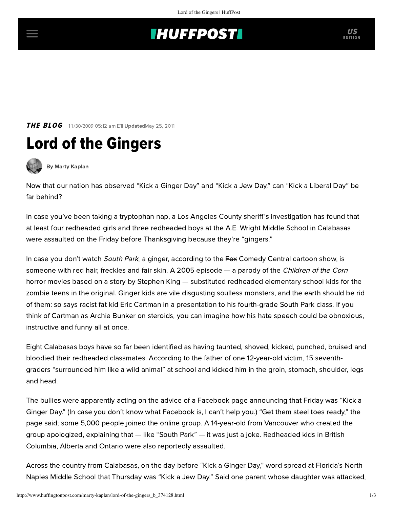# **THUFFPOST**

**THE BLOG** 11/30/2009 05:12 am ETI UpdatedMay 25, 2011





[By Marty Kaplan](http://www.huffingtonpost.com/author/marty-kaplan)

Now that our nation has observed "Kick a Ginger Day" and "Kick a Jew Day," can "Kick a Liberal Day" be far behind?

In case you've been taking a tryptophan nap, a Los Angeles County sheriff's [investigation](http://latimesblogs.latimes.com/lanow/2009/11/authorities-say-at-least-8-redheaded-students-were-victims-of-socalled-ginger-attacks-.html) has found that at least four redheaded girls and three redheaded boys at the A.E. Wright Middle School in Calabasas were assaulted on the Friday before Thanksgiving because they're "gingers."

In case you don't watch South Park, a ginger, according to the Fox Comedy Central cartoon show, is someone with red hair, freckles and fair skin. A 2005 [episode](http://www.southparkstudios.com/guide/911) — a parody of the Children of the Corn horror movies based on a story by Stephen King — substituted redheaded elementary school kids for the zombie teens in the original. Ginger kids are vile disgusting soulless monsters, and the earth should be rid of them: so says racist fat kid Eric Cartman in a presentation to his fourth-grade South Park class. If you think of Cartman as Archie Bunker on steroids, you can imagine how his hate speech could be obnoxious, instructive and funny all at once.

Eight Calabasas boys have so far been identified as having taunted, shoved, kicked, punched, bruised and bloodied their redheaded classmates. [According to the father](http://forums.parenting.com/blogs/daily-fave/posts/kick-ginger-day-one-moms-horrifying-account) of one 12-year-old victim, 15 seventhgraders "surrounded him like a wild animal" at school and kicked him in the groin, stomach, shoulder, legs and head.

The bullies were apparently acting on the advice of a Facebook page announcing that Friday was "Kick a Ginger Day." (In case you don't know what Facebook is, I can't help you.) "Get them steel toes ready," the page said; some 5,000 people joined the online group. A 14-year-old from Vancouver who created the group [apologized](http://www.telegraph.co.uk/news/worldnews/northamerica/canada/3498766/Facebook-Kick-a-Ginger-campaign-prompts-attacks-on-redheads.html), explaining that — like "South Park" — it was just a joke. Redheaded kids in British Columbia, Alberta and Ontario were also reportedly assaulted.

Across the country from Calabasas, on the day before "Kick a Ginger Day," word spread at Florida's North Naples Middle School that Thursday was "Kick a Jew Day." [Said](http://rawstory.com/2009/11/florida-students-kick-jew-day/) one parent whose daughter was attacked,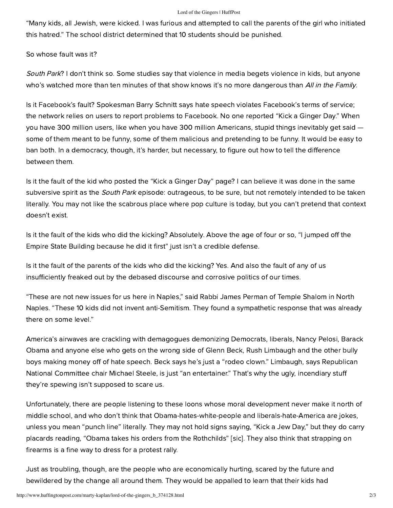#### Lord of the Gingers | HuffPost

"Many kids, all Jewish, were kicked. I was furious and attempted to call the parents of the girl who initiated this hatred." The school district determined that 10 students should be punished.

## So whose fault was it?

South Park? I don't think so. Some studies say that violence in media begets violence in kids, but anyone who's watched more than ten minutes of that show knows it's no more dangerous than All in the Family.

Is it Facebook's fault? Spokesman Barry Schnitt says hate speech violates Facebook's terms of service; the network relies on users to report problems to Facebook. No one reported "Kick a Ginger Day." When you have 300 million users, like when you have 300 million Americans, stupid things inevitably get said some of them meant to be funny, some of them malicious and pretending to be funny. It would be easy to ban both. In a democracy, though, it's harder, but necessary, to figure out how to tell the difference between them.

Is it the fault of the kid who posted the "Kick a Ginger Day" page? I can believe it was done in the same subversive spirit as the *South Park* episode: outrageous, to be sure, but not remotely intended to be taken literally. You may not like the scabrous place where pop culture is today, but you can't pretend that context doesn't exist.

Is it the fault of the kids who did the kicking? Absolutely. Above the age of four or so, "I jumped off the Empire State Building because he did it first" just isn't a credible defense.

Is it the fault of the parents of the kids who did the kicking? Yes. And also the fault of any of us insufficiently freaked out by the debased discourse and corrosive politics of our times.

"These are not new issues for us here in Naples," said Rabbi James Perman of Temple Shalom in North Naples. "These 10 kids did not invent anti-Semitism. They found a sympathetic response that was already there on some level."

America's airwaves are crackling with demagogues demonizing Democrats, liberals, Nancy Pelosi, Barack Obama and anyone else who gets on the wrong side of Glenn Beck, Rush Limbaugh and the other bully boys making money off of hate speech. Beck [says](http://www.nytimes.com/2009/03/30/business/media/30beck.html) he's just a "rodeo clown." Limbaugh, [says](http://www.rushlimbaugh.com/home/daily/site_030209/content/01125111.guest.html) Republican National Committee chair Michael Steele, is just "an entertainer." That's why the ugly, incendiary stuff they're spewing isn't supposed to scare us.

Unfortunately, there are people listening to these loons whose moral development never make it north of middle school, and who don't think that Obama-hates-white-people and liberals-hate-America are jokes, unless you mean "punch line" literally. They may not hold signs saying, "Kick a Jew Day," but they do carry placards reading, "Obama takes his orders from the Rothchilds" [sic]. They also think that strapping on firearms is a fine way to dress for a protest rally.

Just as troubling, though, are the people who are economically hurting, scared by the future and bewildered by the change all around them. They would be appalled to learn that their kids had